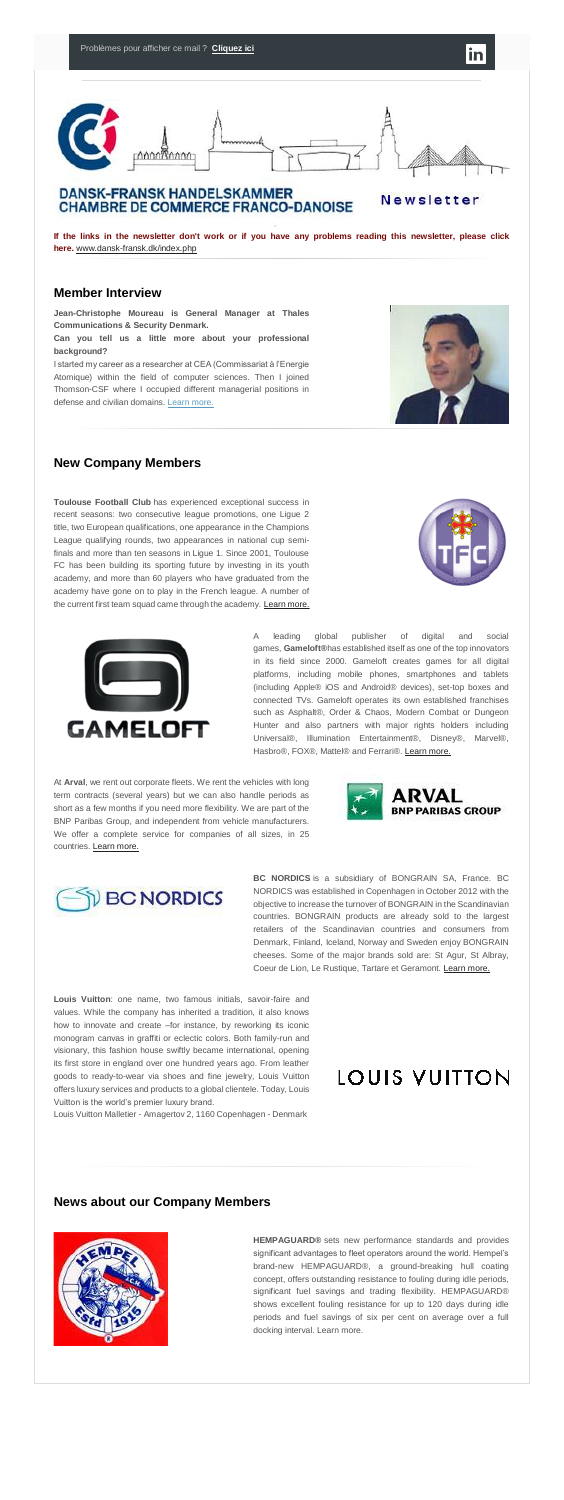**DANSK-FRANSK HANDELSKAMMER** 

**CHAMBRE DE COMMERCE FRANCO-DANOISE** 

**If the links in the newsletter don't work or if you have any problems reading this newsletter, please click here.** [www.dansk-fransk.dk/index.php](http://www.dansk-fransk.dk/index.php?id=31086)

## **Member Interview**

**Jean-Christophe Moureau is General Manager at Thales Communications & Security Denmark.**

**Toulouse Football Club** has experienced exceptional success in recent seasons: two consecutive league promotions, one Ligue 2 title, two European qualifications, one appearance in the Champions League qualifying rounds, two appearances in national cup semifinals and more than ten seasons in Ligue 1. Since 2001, Toulouse FC has been building its sporting future by investing in its youth academy, and more than 60 players who have graduated from the academy have gone on to play in the French league. A number of the current first team squad came through the academy. [Learn more.](http://business.tfc.info/)

**Can you tell us a little more about your professional background?**

I started my career as a researcher at CEA (Commissariat à l'Energie Atomique) within the field of computer sciences. Then I joined Thomson-CSF where I occupied different managerial positions in defense and civilian domains. [Learn more.](http://www.dansk-fransk.dk/index.php?id=8594)

> A leading global publisher of digital and social games, **Gameloft®**has established itself as one of the top innovators in its field since 2000. Gameloft creates games for all digital platforms, including mobile phones, smartphones and tablets (including Apple® iOS and Android® devices), set-top boxes and connected TVs. Gameloft operates its own established franchises such as Asphalt®, Order & Chaos, Modern Combat or Dungeon Hunter and also partners with major rights holders including Universal®, Illumination Entertainment®, Disney®, Marvel®, Hasbro®, FOX®, Mattel® and Ferrari®. [Learn more.](http://www.gameloft.com/?sk)

## **New Company Members**

At **Arval**, we rent out corporate fleets. We rent the vehicles with long term contracts (several years) but we can also handle periods as short as a few months if you need more flexibility. We are part of the BNP Paribas Group, and independent from vehicle manufacturers. We offer a complete service for companies of all sizes, in 25 countries. [Learn more.](http://www.arval.dk/dan/lease/homepage.html)







Newsletter







**BC NORDICS** is a subsidiary of BONGRAIN SA, France. BC NORDICS was established in Copenhagen in October 2012 with the objective to increase the turnover of BONGRAIN in the Scandinavian countries. BONGRAIN products are already sold to the largest retailers of the Scandinavian countries and consumers from Denmark, Finland, Iceland, Norway and Sweden enjoy BONGRAIN cheeses. Some of the major brands sold are: St Agur, St Albray, Coeur de Lion, Le Rustique, Tartare et Geramont. [Learn more.](http://www.bongrain.com/fr/accueil.html)

**Louis Vuitton**: one name, two famous initials, savoir-faire and values. While the company has inherited a tradition, it also knows how to innovate and create –for instance, by reworking its iconic monogram canvas in graffiti or eclectic colors. Both family-run and visionary, this fashion house swiftly became international, opening its first store in england over one hundred years ago. From leather goods to ready-to-wear via shoes and fine jewelry, Louis Vuitton offers luxury services and products to a global clientele. Today, Louis Vuitton is the world's premier luxury brand.

## LOUIS VUITTON

Louis Vuitton Malletier - Amagertov 2, 1160 Copenhagen - Denmark

## **News about our Company Members**



**HEMPAGUARD®** sets new performance standards and provides significant advantages to fleet operators around the world. Hempel's brand-new HEMPAGUARD®, a ground-breaking hull coating concept, offers outstanding resistance to fouling during idle periods, significant fuel savings and trading flexibility. HEMPAGUARD® shows excellent fouling resistance for up to 120 days during idle periods and fuel savings of six per cent on average over a full docking interval. Learn more.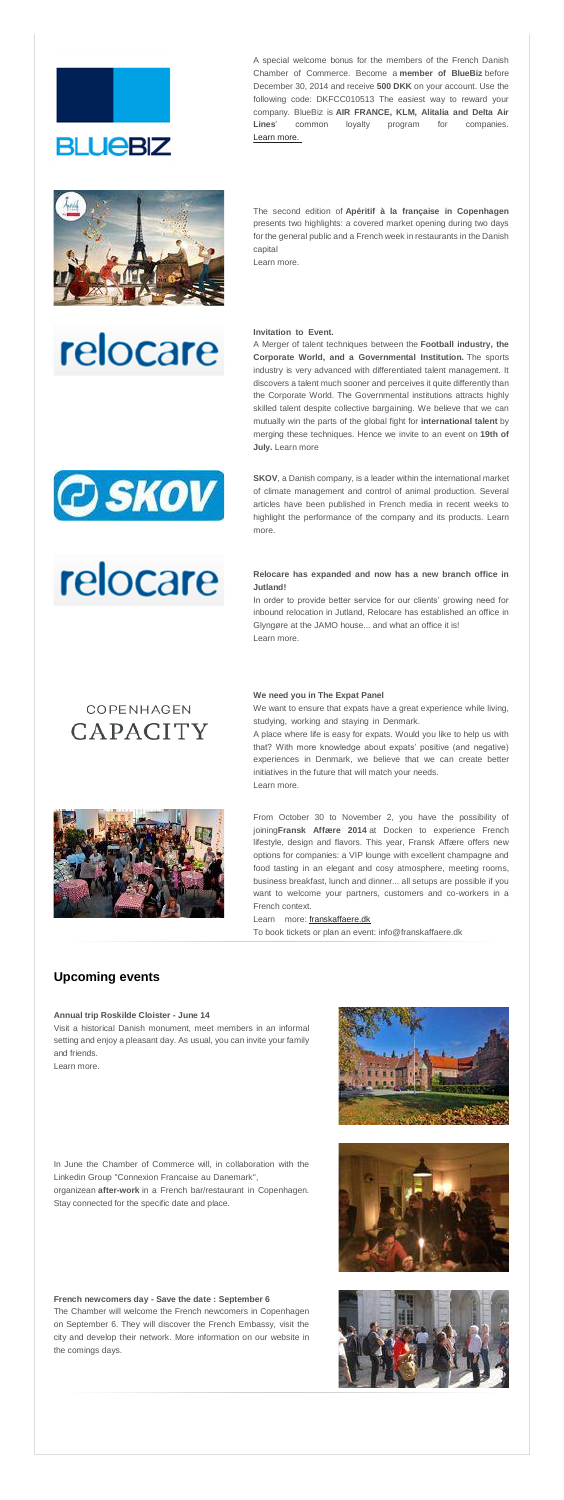

The second edition of **Apéritif à la française in Copenhagen** presents two highlights: a covered market opening during two days for the general public and a French week in restaurants in the Danish capital





Learn more.

# relocare

## **Invitation to Event.**

We want to ensure that expats have a great experience while living, studying, working and staying in Denmark.

A Merger of talent techniques between the **Football industry, the Corporate World, and a Governmental Institution.** The sports industry is very advanced with differentiated talent management. It discovers a talent much sooner and perceives it quite differently than the Corporate World. The Governmental institutions attracts highly skilled talent despite collective bargaining. We believe that we can mutually win the parts of the global fight for **international talent** by merging these techniques. Hence we invite to an event on **19th of July.** Learn more



**SKOV**, a Danish company, is a leader within the international market of climate management and control of animal production. Several articles have been published in French media in recent weeks to highlight the performance of the company and its products. Learn more.

# relocare

Learn more: franskaffaere.dk To book tickets or plan an event: info@franskaffaere.dk

## **Relocare has expanded and now has a new branch office in Jutland!**

In order to provide better service for our clients' growing need for inbound relocation in Jutland, Relocare has established an office in Glyngøre at the JAMO house... and what an office it is! Learn more.

## COPENHAGEN CAPACITY

### **We need you in The Expat Panel**

A place where life is easy for expats. Would you like to help us with that? With more knowledge about expats' positive (and negative) experiences in Denmark, we believe that we can create better initiatives in the future that will match your needs. Learn more.

From October 30 to November 2, you have the possibility of joining**Fransk Affære 2014** at Docken to experience French lifestyle, design and flavors. This year, Fransk Affære offers new



options for companies: a VIP lounge with excellent champagne and food tasting in an elegant and cosy atmosphere, meeting rooms, business breakfast, lunch and dinner... all setups are possible if you want to welcome your partners, customers and co-workers in a French context.

## **Upcoming events**

### **Annual trip Roskilde Cloister - June 14**

Visit a historical Danish monument, meet members in an informal setting and enjoy a pleasant day. As usual, you can invite your family and friends.

Learn more.

In June the Chamber of Commerce will, in collaboration with the Linkedin Group "Connexion Francaise au Danemark", organizean **after-work** in a French bar/restaurant in Copenhagen. Stay connected for the specific date and place.

**French newcomers day - Save the date : September 6**

The Chamber will welcome the French newcomers in Copenhagen on September 6. They will discover the French Embassy, visit the city and develop their network. More information on our website in the comings days.